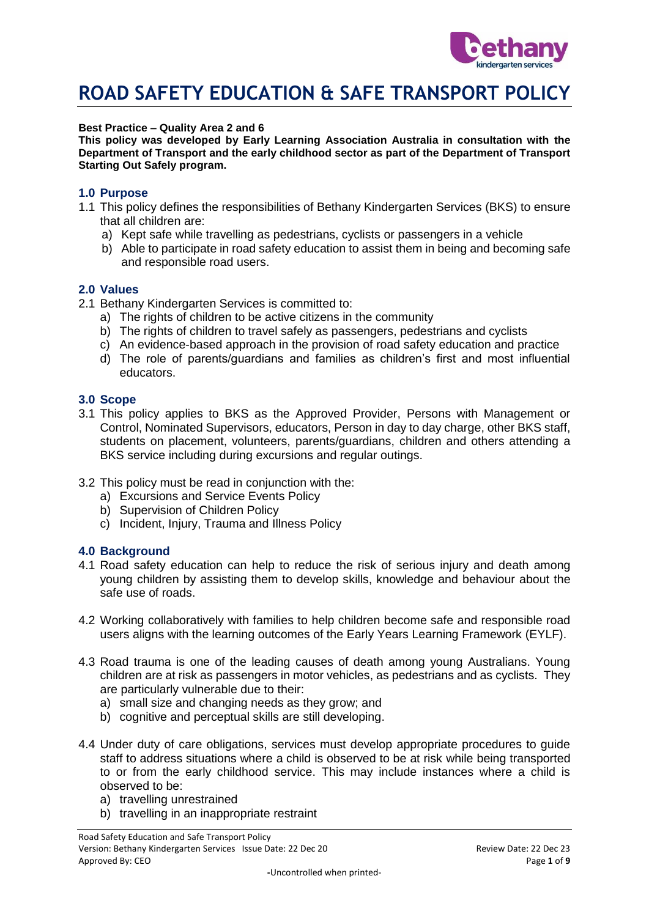

### **Best Practice – Quality Area 2 and 6**

**This policy was developed by Early Learning Association Australia in consultation with the Department of Transport and the early childhood sector as part of the Department of Transport Starting Out Safely program.**

### **1.0 Purpose**

- 1.1 This policy defines the responsibilities of Bethany Kindergarten Services (BKS) to ensure that all children are:
	- a) Kept safe while travelling as pedestrians, cyclists or passengers in a vehicle
	- b) Able to participate in road safety education to assist them in being and becoming safe and responsible road users.

#### **2.0 Values**

- 2.1 Bethany Kindergarten Services is committed to:
	- a) The rights of children to be active citizens in the community
	- b) The rights of children to travel safely as passengers, pedestrians and cyclists
	- c) An evidence-based approach in the provision of road safety education and practice
	- d) The role of parents/guardians and families as children's first and most influential educators.

## **3.0 Scope**

- 3.1 This policy applies to BKS as the Approved Provider, Persons with Management or Control, Nominated Supervisors, educators, Person in day to day charge, other BKS staff, students on placement, volunteers, parents/guardians, children and others attending a BKS service including during excursions and regular outings.
- 3.2 This policy must be read in conjunction with the:
	- a) Excursions and Service Events Policy
	- b) Supervision of Children Policy
	- c) Incident, Injury, Trauma and Illness Policy

#### **4.0 Background**

- 4.1 Road safety education can help to reduce the risk of serious injury and death among young children by assisting them to develop skills, knowledge and behaviour about the safe use of roads.
- 4.2 Working collaboratively with families to help children become safe and responsible road users aligns with the learning outcomes of the Early Years Learning Framework (EYLF).
- 4.3 Road trauma is one of the leading causes of death among young Australians. Young children are at risk as passengers in motor vehicles, as pedestrians and as cyclists. They are particularly vulnerable due to their:
	- a) small size and changing needs as they grow; and
	- b) cognitive and perceptual skills are still developing.
- 4.4 Under duty of care obligations, services must develop appropriate procedures to guide staff to address situations where a child is observed to be at risk while being transported to or from the early childhood service. This may include instances where a child is observed to be:
	- a) travelling unrestrained
	- b) travelling in an inappropriate restraint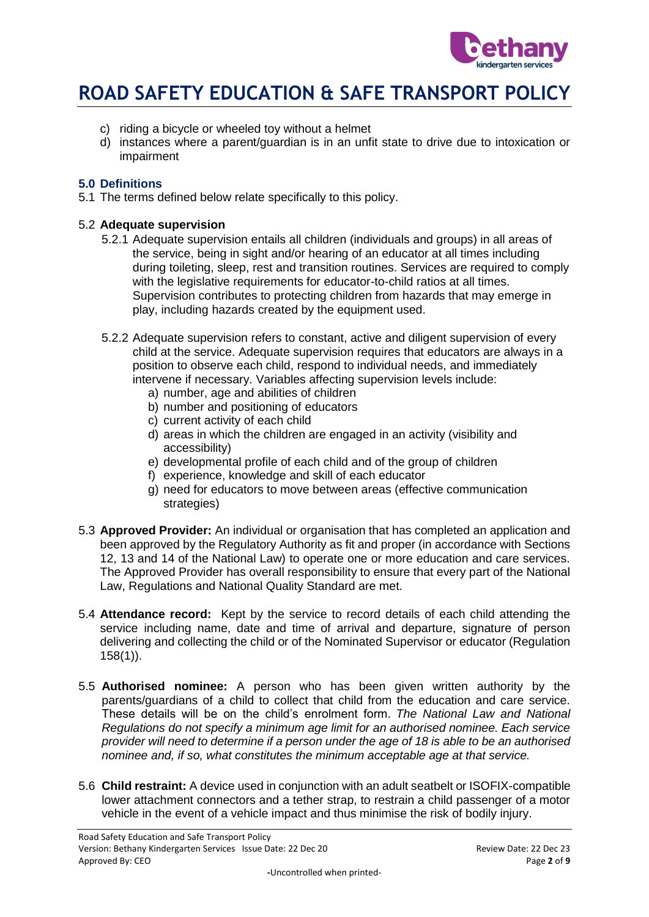

- c) riding a bicycle or wheeled toy without a helmet
- d) instances where a parent/guardian is in an unfit state to drive due to intoxication or impairment

# **5.0 Definitions**

5.1 The terms defined below relate specifically to this policy.

## 5.2 **Adequate supervision**

- 5.2.1 Adequate supervision entails all children (individuals and groups) in all areas of the service, being in sight and/or hearing of an educator at all times including during toileting, sleep, rest and transition routines. Services are required to comply with the legislative requirements for educator-to-child ratios at all times. Supervision contributes to protecting children from hazards that may emerge in play, including hazards created by the equipment used.
- 5.2.2 Adequate supervision refers to constant, active and diligent supervision of every child at the service. Adequate supervision requires that educators are always in a position to observe each child, respond to individual needs, and immediately intervene if necessary. Variables affecting supervision levels include:
	- a) number, age and abilities of children
	- b) number and positioning of educators
	- c) current activity of each child
	- d) areas in which the children are engaged in an activity (visibility and accessibility)
	- e) developmental profile of each child and of the group of children
	- f) experience, knowledge and skill of each educator
	- g) need for educators to move between areas (effective communication strategies)
- 5.3 **Approved Provider:** An individual or organisation that has completed an application and been approved by the Regulatory Authority as fit and proper (in accordance with Sections 12, 13 and 14 of the National Law) to operate one or more education and care services. The Approved Provider has overall responsibility to ensure that every part of the National Law, Regulations and National Quality Standard are met.
- 5.4 **Attendance record:** Kept by the service to record details of each child attending the service including name, date and time of arrival and departure, signature of person delivering and collecting the child or of the Nominated Supervisor or educator (Regulation 158(1)).
- 5.5 **Authorised nominee:** A person who has been given written authority by the parents/guardians of a child to collect that child from the education and care service. These details will be on the child's enrolment form. *The National Law and National Regulations do not specify a minimum age limit for an authorised nominee. Each service provider will need to determine if a person under the age of 18 is able to be an authorised nominee and, if so, what constitutes the minimum acceptable age at that service.*
- 5.6 **Child restraint:** A device used in conjunction with an adult seatbelt or ISOFIX-compatible lower attachment connectors and a tether strap, to restrain a child passenger of a motor vehicle in the event of a vehicle impact and thus minimise the risk of bodily injury.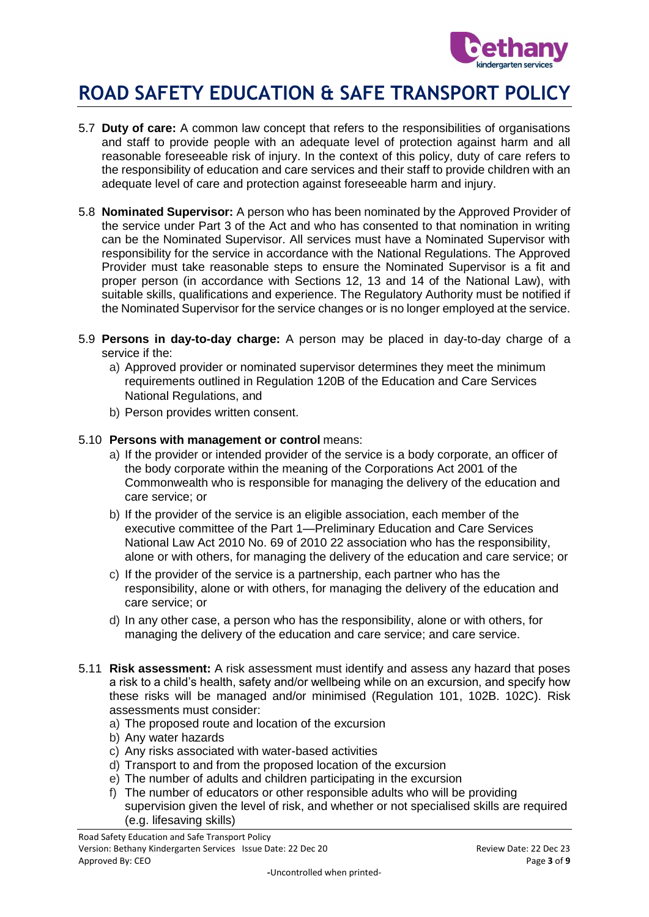

- 5.7 **Duty of care:** A common law concept that refers to the responsibilities of organisations and staff to provide people with an adequate level of protection against harm and all reasonable foreseeable risk of injury. In the context of this policy, duty of care refers to the responsibility of education and care services and their staff to provide children with an adequate level of care and protection against foreseeable harm and injury.
- 5.8 **Nominated Supervisor:** A person who has been nominated by the Approved Provider of the service under Part 3 of the Act and who has consented to that nomination in writing can be the Nominated Supervisor. All services must have a Nominated Supervisor with responsibility for the service in accordance with the National Regulations. The Approved Provider must take reasonable steps to ensure the Nominated Supervisor is a fit and proper person (in accordance with Sections 12, 13 and 14 of the National Law), with suitable skills, qualifications and experience. The Regulatory Authority must be notified if the Nominated Supervisor for the service changes or is no longer employed at the service.
- 5.9 **Persons in day-to-day charge:** A person may be placed in day-to-day charge of a service if the:
	- a) Approved provider or nominated supervisor determines they meet the minimum requirements outlined in Regulation 120B of the Education and Care Services National Regulations, and
	- b) Person provides written consent.

# 5.10 **Persons with management or control** means:

- a) If the provider or intended provider of the service is a body corporate, an officer of the body corporate within the meaning of the Corporations Act 2001 of the Commonwealth who is responsible for managing the delivery of the education and care service; or
- b) If the provider of the service is an eligible association, each member of the executive committee of the Part 1—Preliminary Education and Care Services National Law Act 2010 No. 69 of 2010 22 association who has the responsibility, alone or with others, for managing the delivery of the education and care service; or
- c) If the provider of the service is a partnership, each partner who has the responsibility, alone or with others, for managing the delivery of the education and care service; or
- d) In any other case, a person who has the responsibility, alone or with others, for managing the delivery of the education and care service; and care service.
- 5.11 **Risk assessment:** A risk assessment must identify and assess any hazard that poses a risk to a child's health, safety and/or wellbeing while on an excursion, and specify how these risks will be managed and/or minimised (Regulation 101, 102B. 102C). Risk assessments must consider:
	- a) The proposed route and location of the excursion
	- b) Any water hazards
	- c) Any risks associated with water-based activities
	- d) Transport to and from the proposed location of the excursion
	- e) The number of adults and children participating in the excursion
	- f) The number of educators or other responsible adults who will be providing supervision given the level of risk, and whether or not specialised skills are required (e.g. lifesaving skills)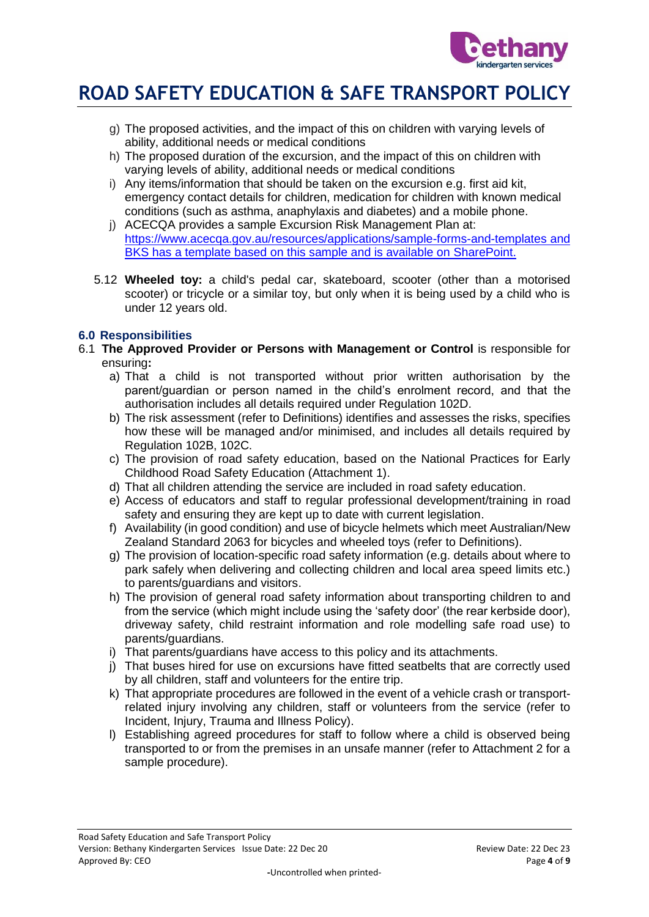

- g) The proposed activities, and the impact of this on children with varying levels of ability, additional needs or medical conditions
- h) The proposed duration of the excursion, and the impact of this on children with varying levels of ability, additional needs or medical conditions
- i) Any items/information that should be taken on the excursion e.g. first aid kit, emergency contact details for children, medication for children with known medical conditions (such as asthma, anaphylaxis and diabetes) and a mobile phone.
- j) ACECQA provides a sample Excursion Risk Management Plan at: <https://www.acecqa.gov.au/resources/applications/sample-forms-and-templates> and BKS has a template based on this sample and is available on SharePoint.
- 5.12 **Wheeled toy:** a child's pedal car, skateboard, scooter (other than a motorised scooter) or tricycle or a similar toy, but only when it is being used by a child who is under 12 years old.

# **6.0 Responsibilities**

- 6.1 **The Approved Provider or Persons with Management or Control** is responsible for ensuring**:**
	- a) That a child is not transported without prior written authorisation by the parent/guardian or person named in the child's enrolment record, and that the authorisation includes all details required under Regulation 102D.
	- b) The risk assessment (refer to Definitions) identifies and assesses the risks, specifies how these will be managed and/or minimised, and includes all details required by Regulation 102B, 102C.
	- c) The provision of road safety education, based on the National Practices for Early Childhood Road Safety Education (Attachment 1).
	- d) That all children attending the service are included in road safety education.
	- e) Access of educators and staff to regular professional development/training in road safety and ensuring they are kept up to date with current legislation.
	- f) Availability (in good condition) and use of bicycle helmets which meet Australian/New Zealand Standard 2063 for bicycles and wheeled toys (refer to Definitions).
	- g) The provision of location-specific road safety information (e.g. details about where to park safely when delivering and collecting children and local area speed limits etc.) to parents/guardians and visitors.
	- h) The provision of general road safety information about transporting children to and from the service (which might include using the 'safety door' (the rear kerbside door), driveway safety, child restraint information and role modelling safe road use) to parents/guardians.
	- i) That parents/guardians have access to this policy and its attachments.
	- j) That buses hired for use on excursions have fitted seatbelts that are correctly used by all children, staff and volunteers for the entire trip.
	- k) That appropriate procedures are followed in the event of a vehicle crash or transportrelated injury involving any children, staff or volunteers from the service (refer to Incident, Injury, Trauma and Illness Policy).
	- l) Establishing agreed procedures for staff to follow where a child is observed being transported to or from the premises in an unsafe manner (refer to Attachment 2 for a sample procedure).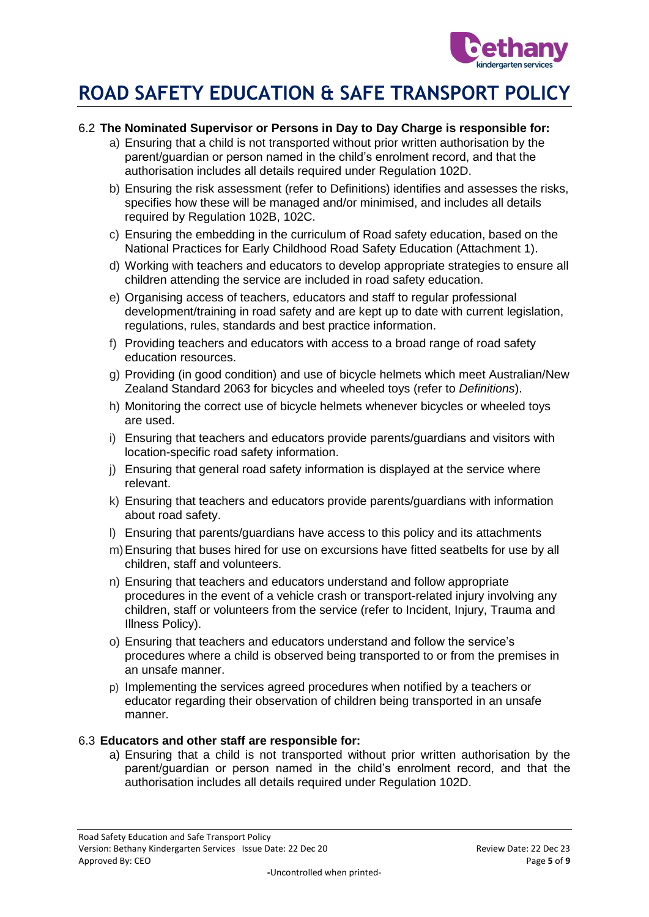

# 6.2 **The Nominated Supervisor or Persons in Day to Day Charge is responsible for:**

- a) Ensuring that a child is not transported without prior written authorisation by the parent/guardian or person named in the child's enrolment record, and that the authorisation includes all details required under Regulation 102D.
- b) Ensuring the risk assessment (refer to Definitions) identifies and assesses the risks, specifies how these will be managed and/or minimised, and includes all details required by Regulation 102B, 102C.
- c) Ensuring the embedding in the curriculum of Road safety education, based on the National Practices for Early Childhood Road Safety Education (Attachment 1).
- d) Working with teachers and educators to develop appropriate strategies to ensure all children attending the service are included in road safety education.
- e) Organising access of teachers, educators and staff to regular professional development/training in road safety and are kept up to date with current legislation, regulations, rules, standards and best practice information.
- f) Providing teachers and educators with access to a broad range of road safety education resources.
- g) Providing (in good condition) and use of bicycle helmets which meet Australian/New Zealand Standard 2063 for bicycles and wheeled toys (refer to *Definitions*).
- h) Monitoring the correct use of bicycle helmets whenever bicycles or wheeled toys are used.
- i) Ensuring that teachers and educators provide parents/guardians and visitors with location-specific road safety information.
- j) Ensuring that general road safety information is displayed at the service where relevant.
- k) Ensuring that teachers and educators provide parents/guardians with information about road safety.
- l) Ensuring that parents/guardians have access to this policy and its attachments
- m)Ensuring that buses hired for use on excursions have fitted seatbelts for use by all children, staff and volunteers.
- n) Ensuring that teachers and educators understand and follow appropriate procedures in the event of a vehicle crash or transport-related injury involving any children, staff or volunteers from the service (refer to Incident, Injury, Trauma and Illness Policy).
- o) Ensuring that teachers and educators understand and follow the service's procedures where a child is observed being transported to or from the premises in an unsafe manner.
- p) Implementing the services agreed procedures when notified by a teachers or educator regarding their observation of children being transported in an unsafe manner.

# 6.3 **Educators and other staff are responsible for:**

a) Ensuring that a child is not transported without prior written authorisation by the parent/guardian or person named in the child's enrolment record, and that the authorisation includes all details required under Regulation 102D.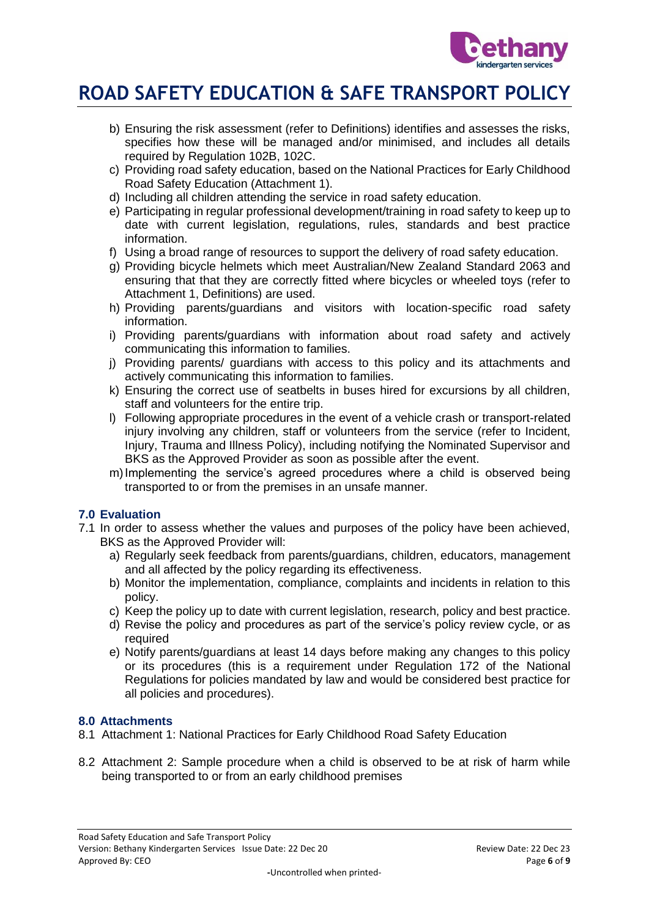

- b) Ensuring the risk assessment (refer to Definitions) identifies and assesses the risks, specifies how these will be managed and/or minimised, and includes all details required by Regulation 102B, 102C.
- c) Providing road safety education, based on the National Practices for Early Childhood Road Safety Education (Attachment 1).
- d) Including all children attending the service in road safety education.
- e) Participating in regular professional development/training in road safety to keep up to date with current legislation, regulations, rules, standards and best practice information.
- f) Using a broad range of resources to support the delivery of road safety education.
- g) Providing bicycle helmets which meet Australian/New Zealand Standard 2063 and ensuring that that they are correctly fitted where bicycles or wheeled toys (refer to Attachment 1, Definitions) are used.
- h) Providing parents/guardians and visitors with location-specific road safety information.
- i) Providing parents/guardians with information about road safety and actively communicating this information to families.
- j) Providing parents/ guardians with access to this policy and its attachments and actively communicating this information to families.
- k) Ensuring the correct use of seatbelts in buses hired for excursions by all children, staff and volunteers for the entire trip.
- l) Following appropriate procedures in the event of a vehicle crash or transport-related injury involving any children, staff or volunteers from the service (refer to Incident, Injury, Trauma and Illness Policy), including notifying the Nominated Supervisor and BKS as the Approved Provider as soon as possible after the event.
- m)Implementing the service's agreed procedures where a child is observed being transported to or from the premises in an unsafe manner.

# **7.0 Evaluation**

- 7.1 In order to assess whether the values and purposes of the policy have been achieved, BKS as the Approved Provider will:
	- a) Regularly seek feedback from parents/guardians, children, educators, management and all affected by the policy regarding its effectiveness.
	- b) Monitor the implementation, compliance, complaints and incidents in relation to this policy.
	- c) Keep the policy up to date with current legislation, research, policy and best practice.
	- d) Revise the policy and procedures as part of the service's policy review cycle, or as required
	- e) Notify parents/guardians at least 14 days before making any changes to this policy or its procedures (this is a requirement under Regulation 172 of the National Regulations for policies mandated by law and would be considered best practice for all policies and procedures).

# **8.0 Attachments**

- 8.1 Attachment 1: National Practices for Early Childhood Road Safety Education
- 8.2 Attachment 2: Sample procedure when a child is observed to be at risk of harm while being transported to or from an early childhood premises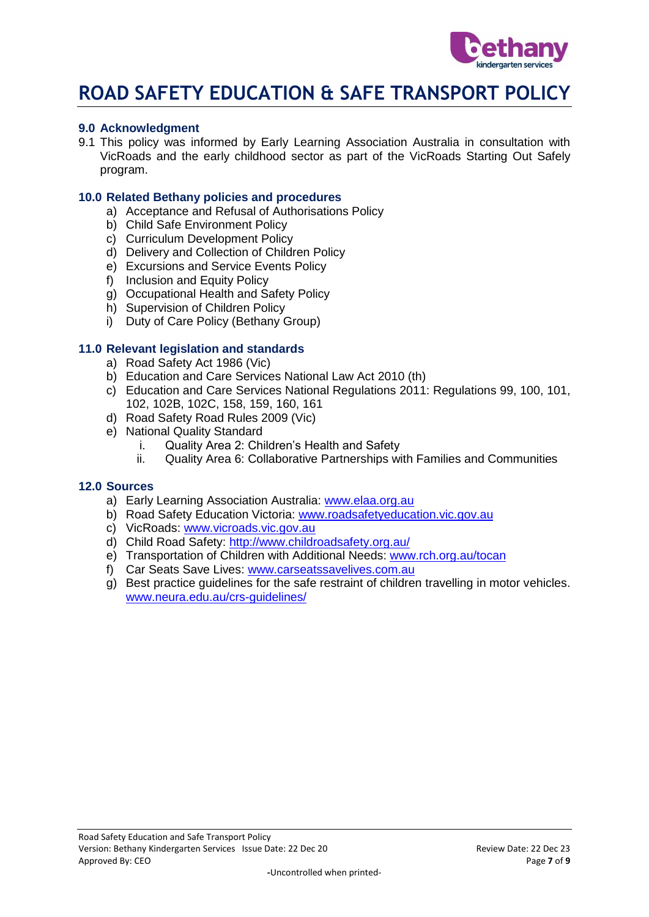

## **9.0 Acknowledgment**

9.1 This policy was informed by Early Learning Association Australia in consultation with VicRoads and the early childhood sector as part of the VicRoads Starting Out Safely program.

### **10.0 Related Bethany policies and procedures**

- a) Acceptance and Refusal of Authorisations Policy
- b) Child Safe Environment Policy
- c) Curriculum Development Policy
- d) Delivery and Collection of Children Policy
- e) Excursions and Service Events Policy
- f) Inclusion and Equity Policy
- g) Occupational Health and Safety Policy
- h) Supervision of Children Policy
- i) Duty of Care Policy (Bethany Group)

# **11.0 Relevant legislation and standards**

- a) Road Safety Act 1986 (Vic)
- b) Education and Care Services National Law Act 2010 (th)
- c) Education and Care Services National Regulations 2011: Regulations 99, 100, 101, 102, 102B, 102C, 158, 159, 160, 161
- d) Road Safety Road Rules 2009 (Vic)
- e) National Quality Standard
	- i. Quality Area 2: Children's Health and Safety
	- ii. Quality Area 6: Collaborative Partnerships with Families and Communities

#### **12.0 Sources**

- a) Early Learning Association Australia: [www.elaa.org.au](http://www.elaa.org.au/)
- b) Road Safety Education Victoria: [www.roadsafetyeducation.vic.gov.au](http://www.roadsafetyeducation.vic.gov.au/)
- c) VicRoads: [www.vicroads.vic.gov.au](http://www.vicroads.vic.gov.au/)
- d) Child Road Safety:<http://www.childroadsafety.org.au/>
- e) Transportation of Children with Additional Needs: [www.rch.org.au/tocan](http://www.rch.org.au/tocan)
- f) Car Seats Save Lives: [www.carseatssavelives.com.au](http://www.carseatssavelives.com.au/)
- g) Best practice guidelines for the safe restraint of children travelling in motor vehicles. [www.neura.edu.au/crs-guidelines/](http://www.neura.edu.au/crs-guidelines/)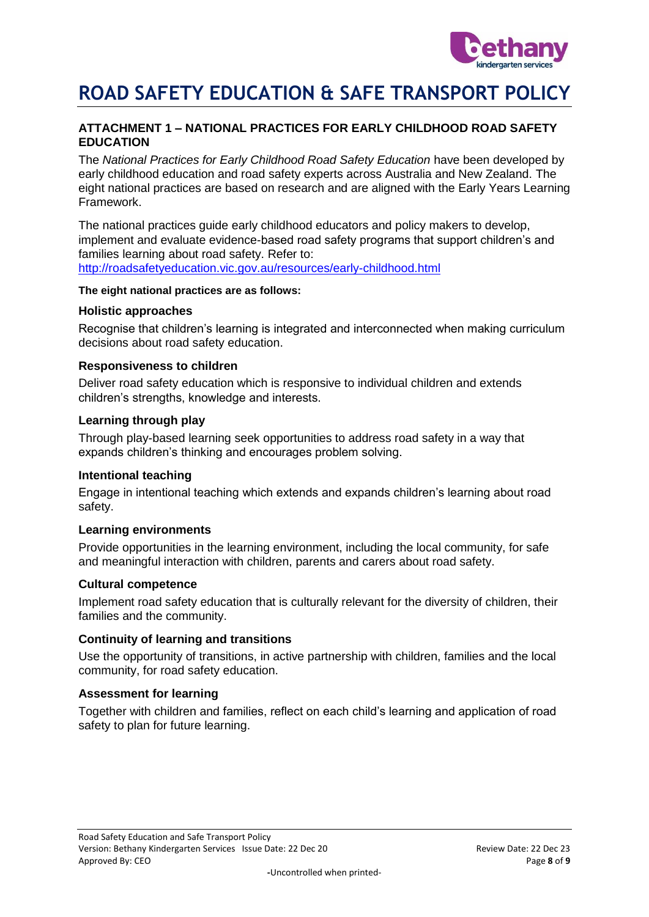

# **ATTACHMENT 1 – NATIONAL PRACTICES FOR EARLY CHILDHOOD ROAD SAFETY EDUCATION**

The *National Practices for Early Childhood Road Safety Education* have been developed by early childhood education and road safety experts across Australia and New Zealand. The eight national practices are based on research and are aligned with the Early Years Learning Framework.

The national practices guide early childhood educators and policy makers to develop, implement and evaluate evidence-based road safety programs that support children's and families learning about road safety. Refer to: <http://roadsafetyeducation.vic.gov.au/resources/early-childhood.html>

#### **The eight national practices are as follows:**

#### **Holistic approaches**

Recognise that children's learning is integrated and interconnected when making curriculum decisions about road safety education.

#### **Responsiveness to children**

Deliver road safety education which is responsive to individual children and extends children's strengths, knowledge and interests.

#### **Learning through play**

Through play-based learning seek opportunities to address road safety in a way that expands children's thinking and encourages problem solving.

### **Intentional teaching**

Engage in intentional teaching which extends and expands children's learning about road safety.

#### **Learning environments**

Provide opportunities in the learning environment, including the local community, for safe and meaningful interaction with children, parents and carers about road safety.

#### **Cultural competence**

Implement road safety education that is culturally relevant for the diversity of children, their families and the community.

### **Continuity of learning and transitions**

Use the opportunity of transitions, in active partnership with children, families and the local community, for road safety education.

#### **Assessment for learning**

Together with children and families, reflect on each child's learning and application of road safety to plan for future learning.